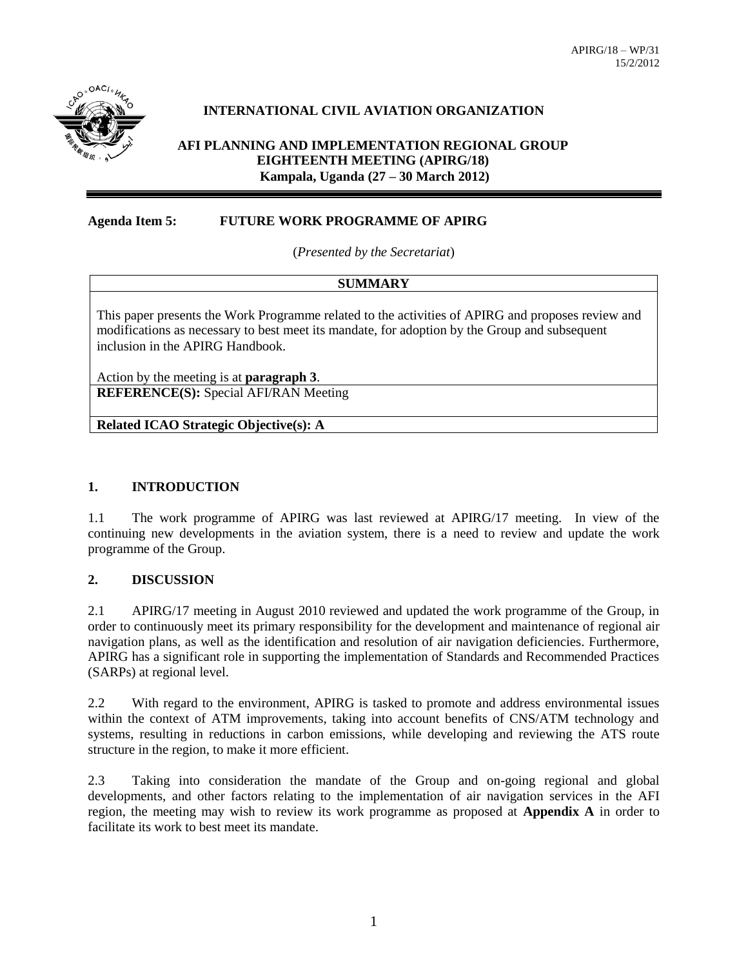

## **INTERNATIONAL CIVIL AVIATION ORGANIZATION**

### **AFI PLANNING AND IMPLEMENTATION REGIONAL GROUP EIGHTEENTH MEETING (APIRG/18) Kampala, Uganda (27 – 30 March 2012)**

#### **Agenda Item 5: FUTURE WORK PROGRAMME OF APIRG**

(*Presented by the Secretariat*)

### **SUMMARY**

This paper presents the Work Programme related to the activities of APIRG and proposes review and modifications as necessary to best meet its mandate, for adoption by the Group and subsequent inclusion in the APIRG Handbook.

Action by the meeting is at **paragraph 3**.

**REFERENCE(S):** Special AFI/RAN Meeting

**Related ICAO Strategic Objective(s): A**

### **1. INTRODUCTION**

1.1 The work programme of APIRG was last reviewed at APIRG/17 meeting. In view of the continuing new developments in the aviation system, there is a need to review and update the work programme of the Group.

### **2. DISCUSSION**

2.1 APIRG/17 meeting in August 2010 reviewed and updated the work programme of the Group, in order to continuously meet its primary responsibility for the development and maintenance of regional air navigation plans, as well as the identification and resolution of air navigation deficiencies. Furthermore, APIRG has a significant role in supporting the implementation of Standards and Recommended Practices (SARPs) at regional level.

2.2 With regard to the environment, APIRG is tasked to promote and address environmental issues within the context of ATM improvements, taking into account benefits of CNS/ATM technology and systems, resulting in reductions in carbon emissions, while developing and reviewing the ATS route structure in the region, to make it more efficient.

2.3 Taking into consideration the mandate of the Group and on-going regional and global developments, and other factors relating to the implementation of air navigation services in the AFI region, the meeting may wish to review its work programme as proposed at **Appendix A** in order to facilitate its work to best meet its mandate.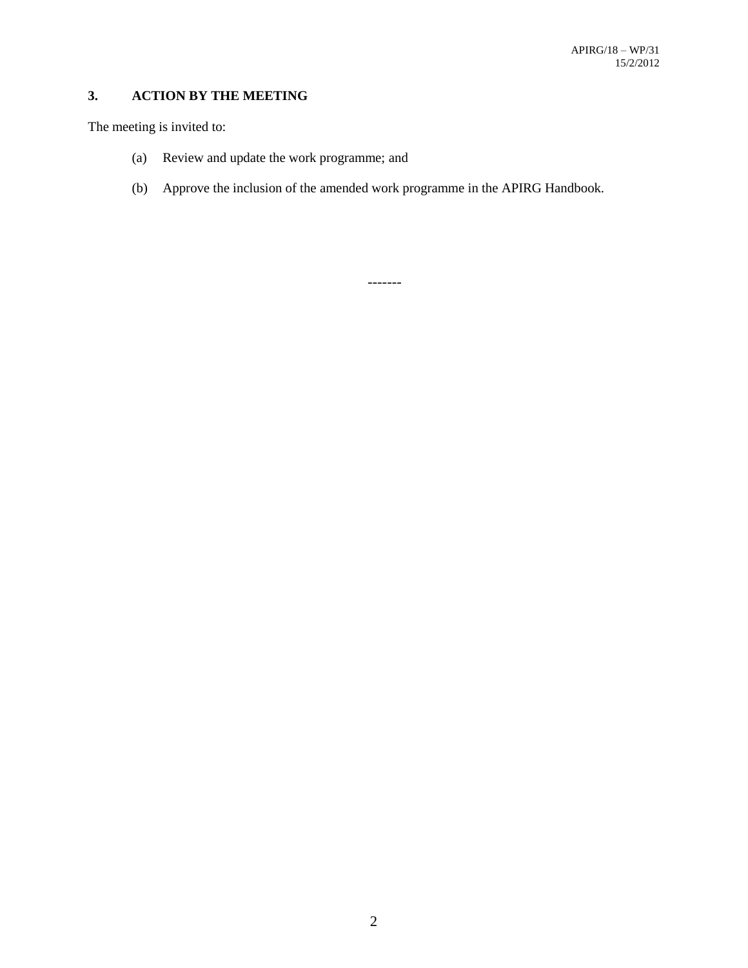# **3. ACTION BY THE MEETING**

The meeting is invited to:

- (a) Review and update the work programme; and
- (b) Approve the inclusion of the amended work programme in the APIRG Handbook.

-------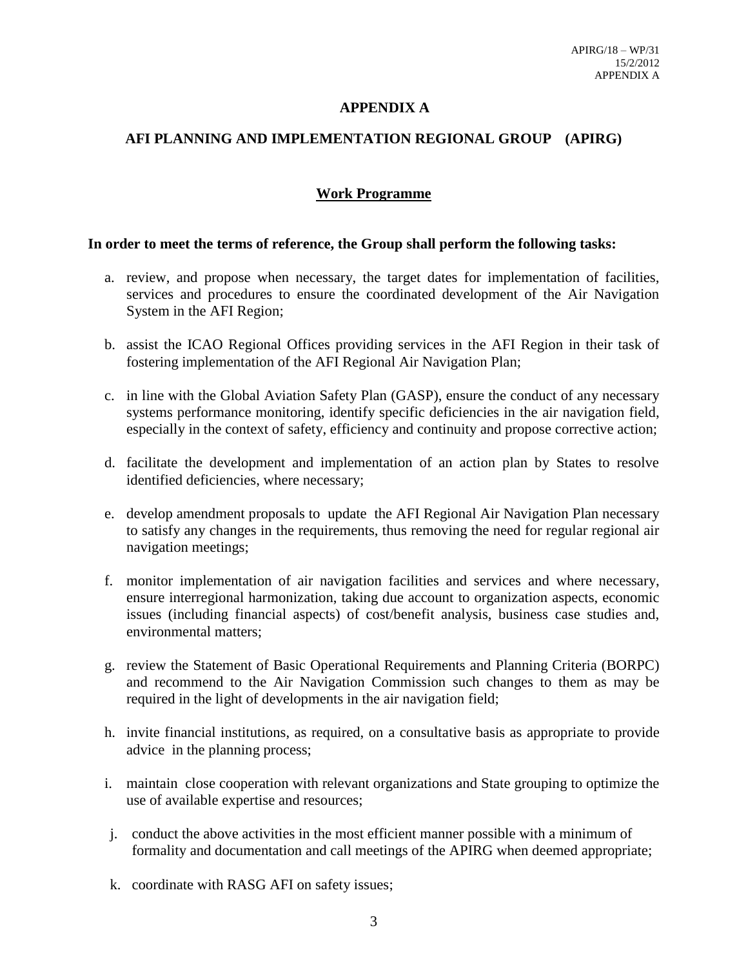## **APPENDIX A**

## **AFI PLANNING AND IMPLEMENTATION REGIONAL GROUP (APIRG)**

## **Work Programme**

### **In order to meet the terms of reference, the Group shall perform the following tasks:**

- a. review, and propose when necessary, the target dates for implementation of facilities, services and procedures to ensure the coordinated development of the Air Navigation System in the AFI Region;
- b. assist the ICAO Regional Offices providing services in the AFI Region in their task of fostering implementation of the AFI Regional Air Navigation Plan;
- c. in line with the Global Aviation Safety Plan (GASP), ensure the conduct of any necessary systems performance monitoring, identify specific deficiencies in the air navigation field, especially in the context of safety, efficiency and continuity and propose corrective action;
- d. facilitate the development and implementation of an action plan by States to resolve identified deficiencies, where necessary;
- e. develop amendment proposals to update the AFI Regional Air Navigation Plan necessary to satisfy any changes in the requirements, thus removing the need for regular regional air navigation meetings;
- f. monitor implementation of air navigation facilities and services and where necessary, ensure interregional harmonization, taking due account to organization aspects, economic issues (including financial aspects) of cost/benefit analysis, business case studies and, environmental matters;
- g. review the Statement of Basic Operational Requirements and Planning Criteria (BORPC) and recommend to the Air Navigation Commission such changes to them as may be required in the light of developments in the air navigation field;
- h. invite financial institutions, as required, on a consultative basis as appropriate to provide advice in the planning process;
- i. maintain close cooperation with relevant organizations and State grouping to optimize the use of available expertise and resources;
- j. conduct the above activities in the most efficient manner possible with a minimum of formality and documentation and call meetings of the APIRG when deemed appropriate;
- k. coordinate with RASG AFI on safety issues;